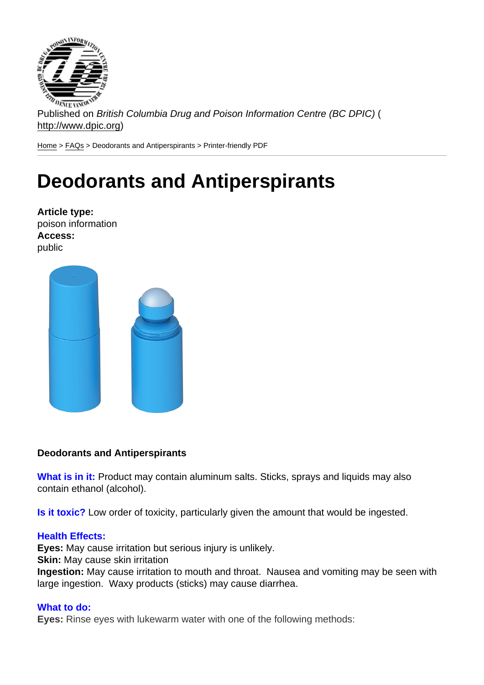Published on British Columbia Drug and Poison Information Centre (BC DPIC) ( http://www.dpic.org)

Home > FAQs > Deodorants and Antiperspirants > Printer-friendly PDF

## [De](http://www.dpic.org/)[od](http://www.dpic.org/faq)orants and Antiperspirants

Article type: poison information Access: public

Deodorants and Antiperspirants

What is in it: Product may contain aluminum salts. Sticks, sprays and liquids may also contain ethanol (alcohol).

Is it toxic? Low order of toxicity, particularly given the amount that would be ingested.

## Health Effects:

Eyes: May cause irritation but serious injury is unlikely.

Skin: May cause skin irritation

Ingestion: May cause irritation to mouth and throat. Nausea and vomiting may be seen with large ingestion. Waxy products (sticks) may cause diarrhea.

## What to do:

Eyes: Rinse eyes with lukewarm water with one of the following methods: